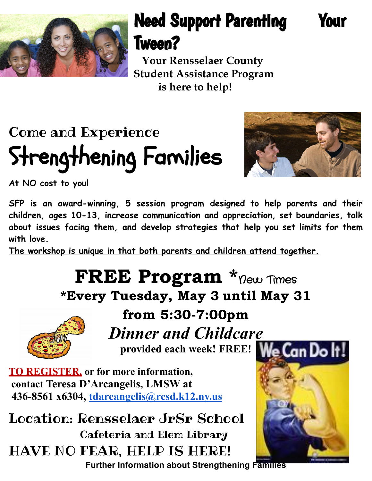

## Need Support Parenting Your Tween?

**Your Rensselaer County Student Assistance Program is here to help!**

# Come and Experience Strengthening Families



**At NO cost to you!**

**SFP is an award-winning, 5 session program designed to help parents and their children, ages 10-13, increase communication and appreciation, set boundaries, talk about issues facing them, and develop strategies that help you set limits for them with love.**

**The workshop is unique in that both parents and children attend together.**

### FREE Program \*new Times \*Every Tuesday, May 3 until May 31



from 5:30-7:00pm

*Dinner and Childcare* provided each week! FREE! We Can Do It!

**TO REGISTER, or for more information, contact Teresa D'Arcangelis, LMSW at 436-8561 x6304, [tdarcangelis@rcsd.k12.ny.us](mailto:tdarcangelis@rcsd.k12.ny.us)**

Location: Rensselaer JrSr School Cafeteria and Elem Library HAVE NO FEAR, HELP IS HERE!



**Further Information about Strengthening Families**